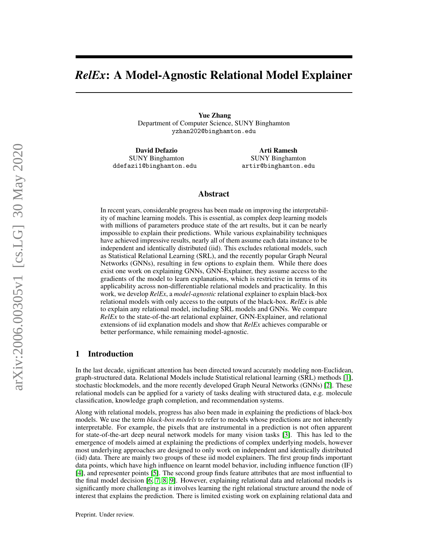# *RelEx*: A Model-Agnostic Relational Model Explainer

Yue Zhang Department of Computer Science, SUNY Binghamton yzhan202@binghamton.edu

David Defazio SUNY Binghamton ddefazi1@binghamton.edu

Arti Ramesh SUNY Binghamton artir@binghamton.edu

## Abstract

In recent years, considerable progress has been made on improving the interpretability of machine learning models. This is essential, as complex deep learning models with millions of parameters produce state of the art results, but it can be nearly impossible to explain their predictions. While various explainability techniques have achieved impressive results, nearly all of them assume each data instance to be independent and identically distributed (iid). This excludes relational models, such as Statistical Relational Learning (SRL), and the recently popular Graph Neural Networks (GNNs), resulting in few options to explain them. While there does exist one work on explaining GNNs, GNN-Explainer, they assume access to the gradients of the model to learn explanations, which is restrictive in terms of its applicability across non-differentiable relational models and practicality. In this work, we develop *RelEx*, a *model-agnostic* relational explainer to explain black-box relational models with only access to the outputs of the black-box. *RelEx* is able to explain any relational model, including SRL models and GNNs. We compare *RelEx* to the state-of-the-art relational explainer, GNN-Explainer, and relational extensions of iid explanation models and show that *RelEx* achieves comparable or better performance, while remaining model-agnostic.

## 1 Introduction

In the last decade, significant attention has been directed toward accurately modeling non-Euclidean, graph-structured data. Relational Models include Statistical relational learning (SRL) methods [\[1\]](#page-8-0), stochastic blockmodels, and the more recently developed Graph Neural Networks (GNNs) [\[2\]](#page-8-1). These relational models can be applied for a variety of tasks dealing with structured data, e.g. molecule classification, knowledge graph completion, and recommendation systems.

Along with relational models, progress has also been made in explaining the predictions of black-box models. We use the term *black-box models* to refer to models whose predictions are not inherently interpretable. For example, the pixels that are instrumental in a prediction is not often apparent for state-of-the-art deep neural network models for many vision tasks [\[3\]](#page-8-2). This has led to the emergence of models aimed at explaining the predictions of complex underlying models, however most underlying approaches are designed to only work on independent and identically distributed (iid) data. There are mainly two groups of these iid model explainers. The first group finds important data points, which have high influence on learnt model behavior, including influence function (IF) [\[4\]](#page-8-3), and representer points [\[5\]](#page-8-4). The second group finds feature attributes that are most influential to the final model decision [\[6,](#page-8-5) [7,](#page-8-6) [8,](#page-8-7) [9\]](#page-8-8). However, explaining relational data and relational models is significantly more challenging as it involves learning the right relational structure around the node of interest that explains the prediction. There is limited existing work on explaining relational data and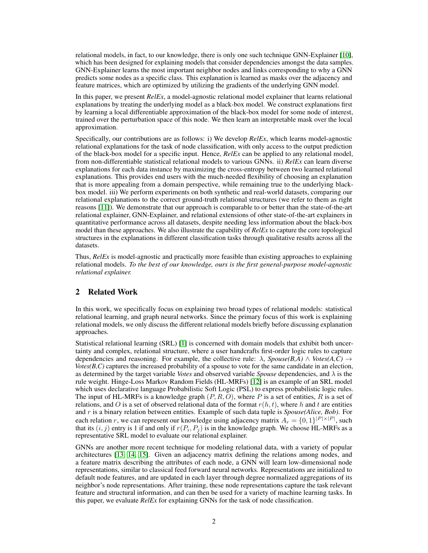relational models, in fact, to our knowledge, there is only one such technique GNN-Explainer [\[10\]](#page-8-9), which has been designed for explaining models that consider dependencies amongst the data samples. GNN-Explainer learns the most important neighbor nodes and links corresponding to why a GNN predicts some nodes as a specific class. This explanation is learned as masks over the adjacency and feature matrices, which are optimized by utilizing the gradients of the underlying GNN model.

In this paper, we present *RelEx*, a model-agnostic relational model explainer that learns relational explanations by treating the underlying model as a black-box model. We construct explanations first by learning a local differentiable approximation of the black-box model for some node of interest, trained over the perturbation space of this node. We then learn an interpretable mask over the local approximation.

Specifically, our contributions are as follows: i) We develop *RelEx*, which learns model-agnostic relational explanations for the task of node classification, with only access to the output prediction of the black-box model for a specific input. Hence, *RelEx* can be applied to any relational model, from non-differentiable statistical relational models to various GNNs. ii) *RelEx* can learn diverse explanations for each data instance by maximizing the cross-entropy between two learned relational explanations. This provides end users with the much-needed flexibility of choosing an explanation that is more appealing from a domain perspective, while remaining true to the underlying blackbox model. iii) We perform experiments on both synthetic and real-world datasets, comparing our relational explanations to the correct ground-truth relational structures (we refer to them as right reasons [\[11\]](#page-8-10)). We demonstrate that our approach is comparable to or better than the state-of-the-art relational explainer, GNN-Explainer, and relational extensions of other state-of-the-art explainers in quantitative performance across all datasets, despite needing less information about the black-box model than these approaches. We also illustrate the capability of *RelEx* to capture the core topological structures in the explanations in different classification tasks through qualitative results across all the datasets.

Thus, *RelEx* is model-agnostic and practically more feasible than existing approaches to explaining relational models. *To the best of our knowledge, ours is the first general-purpose model-agnostic relational explainer.*

# 2 Related Work

In this work, we specifically focus on explaining two broad types of relational models: statistical relational learning, and graph neural networks. Since the primary focus of this work is explaining relational models, we only discuss the different relational models briefly before discussing explanation approaches.

Statistical relational learning (SRL) [\[1\]](#page-8-0) is concerned with domain models that exhibit both uncertainty and complex, relational structure, where a user handcrafts first-order logic rules to capture dependencies and reasoning. For example, the collective rule:  $\lambda$ , *Spouse(B,A)* ∧ *Votes(A,C)* → *Votes(B,C)* captures the increased probability of a spouse to vote for the same candidate in an election, as determined by the target variable *Votes* and observed variable *Spouse* dependencies, and λ is the rule weight. Hinge-Loss Markov Random Fields (HL-MRFs) [\[12\]](#page-8-11) is an example of an SRL model which uses declarative language Probabilistic Soft Logic (PSL) to express probabilistic logic rules. The input of HL-MRFs is a knowledge graph  $(P, R, O)$ , where P is a set of entities, R is a set of relations, and O is a set of observed relational data of the format  $r(h, t)$ , where h and t are entities and r is a binary relation between entities. Example of such data tuple is *Spouse(Alice, Bob)*. For each relation r, we can represent our knowledge using adjacency matrix  $A_r = \{0,1\}^{|P| \times |P|}$ , such that its  $(i, j)$  entry is 1 if and only if  $r(P_i, P_j)$  is in the knowledge graph. We choose HL-MRFs as a representative SRL model to evaluate our relational explainer.

GNNs are another more recent technique for modeling relational data, with a variety of popular architectures [\[13,](#page-8-12) [14,](#page-8-13) [15\]](#page-8-14). Given an adjacency matrix defining the relations among nodes, and a feature matrix describing the attributes of each node, a GNN will learn low-dimensional node representations, similar to classical feed forward neural networks. Representations are initialized to default node features, and are updated in each layer through degree normalized aggregations of its neighbor's node representations. After training, these node representations capture the task relevant feature and structural information, and can then be used for a variety of machine learning tasks. In this paper, we evaluate *RelEx* for explaining GNNs for the task of node classification.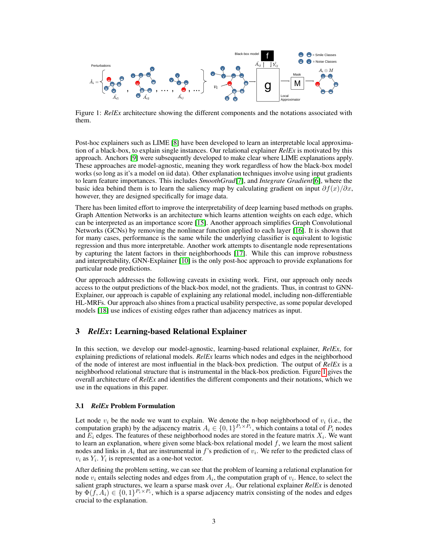

<span id="page-2-0"></span>Figure 1: *RelEx* architecture showing the different components and the notations associated with them.

Post-hoc explainers such as LIME [\[8\]](#page-8-7) have been developed to learn an interpretable local approximation of a black-box, to explain single instances. Our relational explainer *RelEx* is motivated by this approach. Anchors [\[9\]](#page-8-8) were subsequently developed to make clear where LIME explanations apply. These approaches are model-agnostic, meaning they work regardless of how the black-box model works (so long as it's a model on iid data). Other explanation techniques involve using input gradients to learn feature importances. This includes *SmoothGrad*[\[7\]](#page-8-6), and *Integrate Gradient*[\[6\]](#page-8-5), where the basic idea behind them is to learn the saliency map by calculating gradient on input  $\partial f(x)/\partial x$ , however, they are designed specifically for image data.

There has been limited effort to improve the interpretability of deep learning based methods on graphs. Graph Attention Networks is an architecture which learns attention weights on each edge, which can be interpreted as an importance score [\[15\]](#page-8-14). Another approach simplifies Graph Convolutional Networks (GCNs) by removing the nonlinear function applied to each layer [\[16\]](#page-8-15). It is shown that for many cases, performance is the same while the underlying classifier is equivalent to logistic regression and thus more interpretable. Another work attempts to disentangle node representations by capturing the latent factors in their neighborhoods [\[17\]](#page-8-16). While this can improve robustness and interpretability, GNN-Explainer [\[10\]](#page-8-9) is the only post-hoc approach to provide explanations for particular node predictions.

Our approach addresses the following caveats in existing work. First, our approach only needs access to the output predictions of the black-box model, not the gradients. Thus, in contrast to GNN-Explainer, our approach is capable of explaining any relational model, including non-differentiable HL-MRFs. Our approach also shines from a practical usability perspective, as some popular developed models [\[18\]](#page-8-17) use indices of existing edges rather than adjacency matrices as input.

# 3 *RelEx*: Learning-based Relational Explainer

In this section, we develop our model-agnostic, learning-based relational explainer, *RelEx*, for explaining predictions of relational models. *RelEx* learns which nodes and edges in the neighborhood of the node of interest are most influential in the black-box prediction. The output of *RelEx* is a neighborhood relational structure that is instrumental in the black-box prediction. Figure [1](#page-2-0) gives the overall architecture of *RelEx* and identifies the different components and their notations, which we use in the equations in this paper.

#### 3.1 *RelEx* Problem Formulation

Let node  $v_i$  be the node we want to explain. We denote the n-hop neighborhood of  $v_i$  (i.e., the computation graph) by the adjacency matrix  $A_i \in \{0,1\}^{P_i \times P_i}$ , which contains a total of  $P_i$  nodes and  $E_i$  edges. The features of these neighborhood nodes are stored in the feature matrix  $X_i$ . We want to learn an explanation, where given some black-box relational model  $f$ , we learn the most salient nodes and links in  $A_i$  that are instrumental in f's prediction of  $v_i$ . We refer to the predicted class of  $v_i$  as  $Y_i$ .  $Y_i$  is represented as a one-hot vector.

After defining the problem setting, we can see that the problem of learning a relational explanation for node  $v_i$  entails selecting nodes and edges from  $A_i$ , the computation graph of  $v_i$ . Hence, to select the salient graph structures, we learn a sparse mask over  $A_i$ . Our relational explainer  $RelEx$  is denoted by  $\Phi(f, A_i) \in \{0, 1\}^{P_i \times P_i}$ , which is a sparse adjacency matrix consisting of the nodes and edges crucial to the explanation.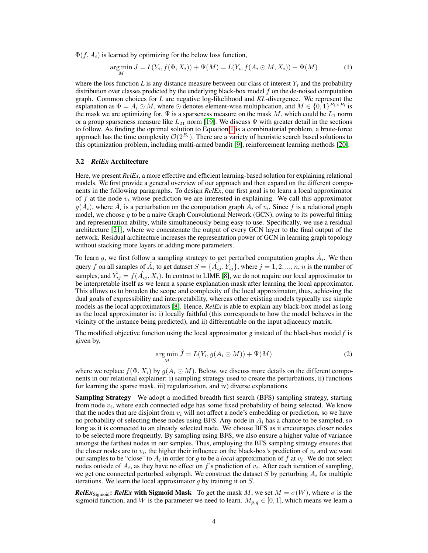$\Phi(f, A_i)$  is learned by optimizing for the below loss function,

<span id="page-3-0"></span>
$$
\underset{M}{\arg\min} J = L(Y_i, f(\Phi, X_i)) + \Psi(M) = L(Y_i, f(A_i \odot M, X_i)) + \Psi(M) \tag{1}
$$

where the loss function  $L$  is any distance measure between our class of interest  $Y_i$  and the probability distribution over classes predicted by the underlying black-box model  $f$  on the de-noised computation graph. Common choices for *L* are negative log-likelihood and *KL*-divergence. We represent the explanation as  $\Phi = A_i \odot M$ , where  $\odot$  denotes element-wise multiplication, and  $M \in \{0,1\}^{P_i \times P_i}$  is the mask we are optimizing for.  $\Psi$  is a sparseness measure on the mask M, which could be  $L_1$  norm or a group sparseness measure like  $L_{21}$  norm [\[19\]](#page-8-18). We discuss  $\Psi$  with greater detail in the sections to follow. As finding the optimal solution to Equation [1](#page-3-0) is a combinatorial problem, a brute-force approach has the time complexity  $\mathcal{O}(2^{E_i})$ . There are a variety of heuristic search based solutions to this optimization problem, including multi-armed bandit [\[9\]](#page-8-8), reinforcement learning methods [\[20\]](#page-8-19).

#### 3.2 *RelEx* Architecture

Here, we present *RelEx*, a more effective and efficient learning-based solution for explaining relational models. We first provide a general overview of our approach and then expand on the different components in the following paragraphs. To design *RelEx*, our first goal is to learn a local approximator of f at the node  $v_i$  whose prediction we are interested in explaining. We call this approximator  $g(\hat{A}_i)$ , where  $\hat{A}_i$  is a perturbation on the computation graph  $A_i$  of  $v_i$ . Since f is a relational graph model, we choose  $g$  to be a naive Graph Convolutional Network (GCN), owing to its powerful fitting and representation ability, while simultaneously being easy to use. Specifically, we use a residual architecture [\[21\]](#page-8-20), where we concatenate the output of every GCN layer to the final output of the network. Residual architecture increases the representation power of GCN in learning graph topology without stacking more layers or adding more parameters.

To learn g, we first follow a sampling strategy to get perturbed computation graphs  $\hat{A}_i$ . We then query f on all samples of  $\hat{A}_i$  to get dataset  $S = \{\hat{A_{ij}}, \hat{Y_{ij}}\}$ , where  $j = 1, 2, ..., n$ , n is the number of samples, and  $\hat{Y_{ij}} = f(\hat{A_{ij}}, X_i)$ . In contrast to LIME [\[8\]](#page-8-7), we do not require our local approximator to be interpretable itself as we learn a sparse explanation mask after learning the local approximator. This allows us to broaden the scope and complexity of the local approximator, thus, achieving the dual goals of expressibility and interpretability, whereas other existing models typically use simple models as the local approximators [\[8\]](#page-8-7). Hence, *RelEx* is able to explain any black-box model as long as the local approximator is: i) locally faithful (this corresponds to how the model behaves in the vicinity of the instance being predicted), and ii) differentiable on the input adjacency matrix.

The modified objective function using the local approximator *g* instead of the black-box model *f* is given by,

$$
\underset{M}{\arg\min} \hat{J} = L(Y_i, g(A_i \odot M)) + \Psi(M) \tag{2}
$$

where we replace  $f(\Phi, X_i)$  by  $g(A_i \odot M)$ . Below, we discuss more details on the different components in our relational explainer: i) sampling strategy used to create the perturbations, ii) functions for learning the sparse mask, iii) regularization, and iv) diverse explanations.

**Sampling Strategy** We adopt a modified breadth first search (BFS) sampling strategy, starting from node  $v_i$ , where each connected edge has some fixed probability of being selected. We know that the nodes that are disjoint from  $v_i$  will not affect a node's embedding or prediction, so we have no probability of selecting these nodes using BFS. Any node in  $A_i$  has a chance to be sampled, so long as it is connected to an already selected node. We choose BFS as it encourages closer nodes to be selected more frequently. By sampling using BFS, we also ensure a higher value of variance amongst the farthest nodes in our samples. Thus, employing the BFS sampling strategy ensures that the closer nodes are to  $v_i$ , the higher their influence on the black-box's prediction of  $v_i$  and we want our samples to be "close" to  $A_i$  in order for g to be a *local* approximation of f at  $v_i$ . We do not select nodes outside of  $A_i$ , as they have no effect on f's prediction of  $v_i$ . After each iteration of sampling, we get one connected perturbed subgraph. We construct the dataset  $S$  by perturbing  $A_i$  for multiple iterations. We learn the local approximator  $g$  by training it on  $S$ .

*RelEx*<sub>Sigmoid</sub>: *RelEx* with Sigmoid Mask To get the mask M, we set  $M = \sigma(W)$ , where  $\sigma$  is the sigmoid function, and W is the parameter we need to learn.  $M_{p,q} \in [0,1]$ , which means we learn a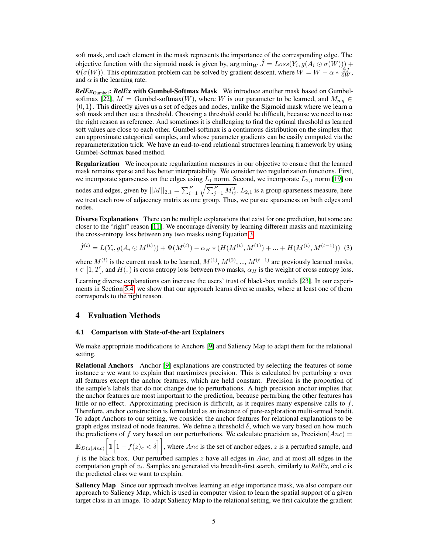soft mask, and each element in the mask represents the importance of the corresponding edge. The objective function with the sigmoid mask is given by,  $\arg \min_W \hat{J} = Loss(Y_i, g(A_i \odot \sigma(W))) +$  $\Psi(\sigma(W))$ . This optimization problem can be solved by gradient descent, where  $W = W - \alpha * \frac{\partial J}{\partial W}$ , and  $\alpha$  is the learning rate.

*RelEx*Gumbel: *RelEx* with Gumbel-Softmax Mask We introduce another mask based on Gumbel-softmax [\[22\]](#page-8-21),  $M =$  Gumbel-softmax(W), where W is our parameter to be learned, and  $M_{p,q} \in$ {0, 1}. This directly gives us a set of edges and nodes, unlike the Sigmoid mask where we learn a soft mask and then use a threshold. Choosing a threshold could be difficult, because we need to use the right reason as reference. And sometimes it is challenging to find the optimal threshold as learned soft values are close to each other. Gumbel-softmax is a continuous distribution on the simplex that can approximate categorical samples, and whose parameter gradients can be easily computed via the reparameterization trick. We have an end-to-end relational structures learning framework by using Gumbel-Softmax based method.

Regularization We incorporate regularization measures in our objective to ensure that the learned mask remains sparse and has better interpretability. We consider two regularization functions. First, we incorporate sparseness on the edges using  $L_1$  norm. Second, we incorporate  $L_{2,1}$  norm [\[19\]](#page-8-18) on nodes and edges, given by  $||M||_{2,1} = \sum_{i=1}^{P} \sqrt{\sum_{j=1}^{P} M_{ij}^2}$ .  $L_{2,1}$  is a group sparseness measure, here we treat each row of adjacency matrix as one group. Thus, we pursue sparseness on both edges and nodes.

Diverse Explanations There can be multiple explanations that exist for one prediction, but some are closer to the "right" reason [\[11\]](#page-8-10). We encourage diversity by learning different masks and maximizing the cross-entropy loss between any two masks using Equation [3.](#page-4-0)

<span id="page-4-0"></span>
$$
\hat{J}^{(t)} = L(Y_i, g(A_i \odot M^{(t)})) + \Psi(M^{(t)}) - \alpha_H * (H(M^{(t)}, M^{(1)}) + \dots + H(M^{(t)}, M^{(t-1)}))
$$
(3)

where  $M^{(t)}$  is the current mask to be learned,  $M^{(1)}$ ,  $M^{(2)}$ , ...,  $M^{(t-1)}$  are previously learned masks,  $t \in [1, T]$ , and  $H($ ,  $)$  is cross entropy loss between two masks,  $\alpha_H$  is the weight of cross entropy loss.

Learning diverse explanations can increase the users' trust of black-box models [\[23\]](#page-8-22). In our experiments in Section [5.4,](#page-7-0) we show that our approach learns diverse masks, where at least one of them corresponds to the right reason.

## 4 Evaluation Methods

#### 4.1 Comparison with State-of-the-art Explainers

We make appropriate modifications to Anchors [\[9\]](#page-8-8) and Saliency Map to adapt them for the relational setting.

Relational Anchors Anchor [\[9\]](#page-8-8) explanations are constructed by selecting the features of some instance x we want to explain that maximizes precision. This is calculated by perturbing x over all features except the anchor features, which are held constant. Precision is the proportion of the sample's labels that do not change due to perturbations. A high precision anchor implies that the anchor features are most important to the prediction, because perturbing the other features has little or no effect. Approximating precision is difficult, as it requires many expensive calls to f. Therefore, anchor construction is formulated as an instance of pure-exploration multi-armed bandit. To adapt Anchors to our setting, we consider the anchor features for relational explanations to be graph edges instead of node features. We define a threshold  $\delta$ , which we vary based on how much the predictions of f vary based on our perturbations. We calculate precision as, Precision( $Anc$ ) =

 $\mathbb{E}_{D(z|Anc)}\Big[\mathbb{1}\Big[1-f(z)_c<\delta\Big]\Big]$ , where Anc is the set of anchor edges, z is a perturbed sample, and

f is the black box. Our perturbed samples z have all edges in Anc, and at most all edges in the computation graph of  $v_i$ . Samples are generated via breadth-first search, similarly to  $Re IEx$ , and  $c$  is the predicted class we want to explain.

Saliency Map Since our approach involves learning an edge importance mask, we also compare our approach to Saliency Map, which is used in computer vision to learn the spatial support of a given target class in an image. To adapt Saliency Map to the relational setting, we first calculate the gradient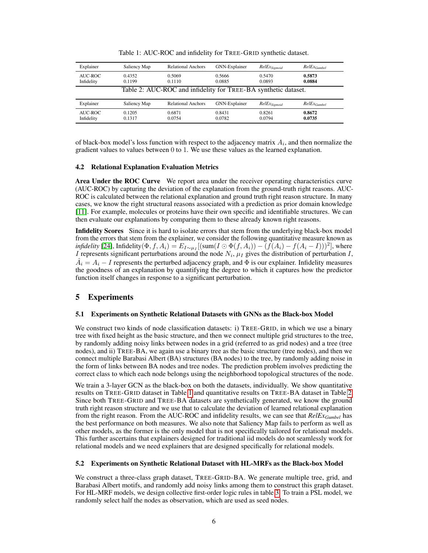| Explainer                                                      | Saliency Map     | <b>Relational Anchors</b> | GNN-Explainer    | $RelEx_{Sigmoid}$ | RelExGumbel      |  |  |
|----------------------------------------------------------------|------------------|---------------------------|------------------|-------------------|------------------|--|--|
| AUC-ROC<br>Infidelity                                          | 0.4352<br>0.1199 | 0.5069<br>0.1110          | 0.5666<br>0.0885 | 0.5470<br>0.0893  | 0.5873<br>0.0884 |  |  |
| Table 2: AUC-ROC and infidelity for TREE-BA synthetic dataset. |                  |                           |                  |                   |                  |  |  |
|                                                                |                  |                           |                  |                   |                  |  |  |
| Explainer                                                      | Saliency Map     | <b>Relational Anchors</b> | GNN-Explainer    | $RelEx_{Sigmoid}$ | RelExGumbel      |  |  |

<span id="page-5-1"></span><span id="page-5-0"></span>Table 1: AUC-ROC and infidelity for TREE-GRID synthetic dataset.

of black-box model's loss function with respect to the adjacency matrix  $A_i$ , and then normalize the gradient values to values between 0 to 1. We use these values as the learned explanation.

#### 4.2 Relational Explanation Evaluation Metrics

Area Under the ROC Curve We report area under the receiver operating characteristics curve (AUC-ROC) by capturing the deviation of the explanation from the ground-truth right reasons. AUC-ROC is calculated between the relational explanation and ground truth right reason structure. In many cases, we know the right structural reasons associated with a prediction as prior domain knowledge [\[11\]](#page-8-10). For example, molecules or proteins have their own specific and identifiable structures. We can then evaluate our explanations by comparing them to these already known right reasons.

Infidelity Scores Since it is hard to isolate errors that stem from the underlying black-box model from the errors that stem from the explainer, we consider the following quantitative measure known as *infidelity* [\[24\]](#page-8-23), Infidelity $(\Phi, f, A_i) = E_{I \sim \mu_I} [(\text{sum}(I \odot \Phi(f, A_i)) - (f(A_i) - f(A_i - I)))^2]$ , where I represents significant perturbations around the node  $N_i$ ,  $\mu_I$  gives the distribution of perturbation I,  $\hat{A}_i = A_i - I$  represents the perturbed adjacency graph, and  $\Phi$  is our explainer. Infidelity measures the goodness of an explanation by quantifying the degree to which it captures how the predictor function itself changes in response to a significant perturbation.

# 5 Experiments

#### 5.1 Experiments on Synthetic Relational Datasets with GNNs as the Black-box Model

We construct two kinds of node classification datasets: i) TREE-GRID, in which we use a binary tree with fixed height as the basic structure, and then we connect multiple grid structures to the tree, by randomly adding noisy links between nodes in a grid (referred to as grid nodes) and a tree (tree nodes), and ii) TREE-BA, we again use a binary tree as the basic structure (tree nodes), and then we connect multiple Barabasi Albert (BA) structures (BA nodes) to the tree, by randomly adding noise in the form of links between BA nodes and tree nodes. The prediction problem involves predicting the correct class to which each node belongs using the neighborhood topological structures of the node.

We train a 3-layer GCN as the black-box on both the datasets, individually. We show quantitative results on TREE-GRID dataset in Table [1](#page-5-0) and quantitative results on TREE-BA dataset in Table [2.](#page-5-1) Since both TREE-GRID and TREE-BA datasets are synthetically generated, we know the ground truth right reason structure and we use that to calculate the deviation of learned relational explanation from the right reason. From the AUC-ROC and infidelity results, we can see that *RelExGumbel* has the best performance on both measures. We also note that Saliency Map fails to perform as well as other models, as the former is the only model that is not specifically tailored for relational models. This further ascertains that explainers designed for traditional iid models do not seamlessly work for relational models and we need explainers that are designed specifically for relational models.

#### 5.2 Experiments on Synthetic Relational Dataset with HL-MRFs as the Black-box Model

We construct a three-class graph dataset, TREE-GRID-BA. We generate multiple tree, grid, and Barabasi Albert motifs, and randomly add noisy links among them to construct this graph dataset. For HL-MRF models, we design collective first-order logic rules in table [3.](#page-6-0) To train a PSL model, we randomly select half the nodes as observation, which are used as seed nodes.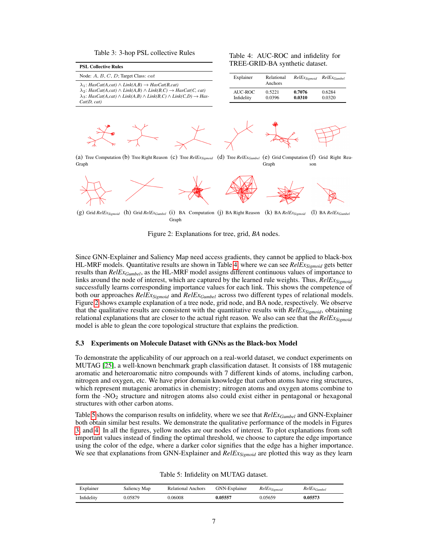<span id="page-6-0"></span>

|  |  |  | Table 3: 3-hop PSL collective Rules |  |
|--|--|--|-------------------------------------|--|
|--|--|--|-------------------------------------|--|

<span id="page-6-1"></span>Table 4: AUC-ROC and infidelity for TREE-GRID-BA synthetic dataset.

| <b>PSL Collective Rules</b>                                                                                                                                                                                                                                                                            |
|--------------------------------------------------------------------------------------------------------------------------------------------------------------------------------------------------------------------------------------------------------------------------------------------------------|
| Node: $A, B, C, D$ ; Target Class: $cat$                                                                                                                                                                                                                                                               |
| $\lambda_1$ : HasCat(A,cat) $\wedge$ Link(A,B) $\rightarrow$ HasCat(B,cat)<br>$\lambda_2$ : HasCat(A,cat) $\wedge$ Link(A,B) $\wedge$ Link(B,C) $\rightarrow$ HasCat(C, cat)<br>$\lambda_3$ : HasCat(A,cat) $\wedge$ Link(A,B) $\wedge$ Link(B,C) $\wedge$ Link(C,D) $\rightarrow$ Has-<br>Cat(D, cat) |





(a) Tree Computation (b) Tree Right Reason (c) Tree *RelExSigmoid* (d) Tree *RelExGumbel* (e) Grid Computation Graph Graph (e) Grid Computation (f) Grid Right Reason



(g) Grid *RelEx<sub>Sigmoid* (h) Grid *RelEx<sub>Gumbel</sub>* (i) BA Computation (j) BA Right Reason (k) BA *RelEx<sub>Sigmoid</sub>* (l) BA *RelEx<sub>Gumbel</sub>*</sub> Graph

<span id="page-6-2"></span>Figure 2: Explanations for tree, grid, *BA* nodes.

Since GNN-Explainer and Saliency Map need access gradients, they cannot be applied to black-box HL-MRF models. Quantitative results are shown in Table [4,](#page-6-1) where we can see *RelExSigmoid* gets better results than *RelExGumbel*, as the HL-MRF model assigns different continuous values of importance to links around the node of interest, which are captured by the learned rule weights. Thus, *RelExSigmoid* successfully learns corresponding importance values for each link. This shows the competence of both our approaches *RelExSigmoid* and *RelExGumbel* across two different types of relational models. Figure [2](#page-6-2) shows example explanation of a tree node, grid node, and BA node, respectively. We observe that the qualitative results are consistent with the quantitative results with *RelExSigmoid*, obtaining relational explanations that are closer to the actual right reason. We also can see that the *RelExSigmoid* model is able to glean the core topological structure that explains the prediction.

#### 5.3 Experiments on Molecule Dataset with GNNs as the Black-box Model

To demonstrate the applicability of our approach on a real-world dataset, we conduct experiments on MUTAG [\[25\]](#page-8-24), a well-known benchmark graph classification dataset. It consists of 188 mutagenic aromatic and heteroaromatic nitro compounds with 7 different kinds of atoms, including carbon, nitrogen and oxygen, etc. We have prior domain knowledge that carbon atoms have ring structures, which represent mutagenic aromatics in chemistry; nitrogen atoms and oxygen atoms combine to form the  $-NO<sub>2</sub>$  structure and nitrogen atoms also could exist either in pentagonal or hexagonal structures with other carbon atoms.

Table [5](#page-6-3) shows the comparison results on infidelity, where we see that *RelExGumbel* and GNN-Explainer both obtain similar best results. We demonstrate the qualitative performance of the models in Figures [3,](#page-7-1) and [4.](#page-7-2) In all the figures, yellow nodes are our nodes of interest. To plot explanations from soft important values instead of finding the optimal threshold, we choose to capture the edge importance using the color of the edge, where a darker color signifies that the edge has a higher importance. We see that explanations from GNN-Explainer and *RelExSigmoid* are plotted this way as they learn

<span id="page-6-3"></span>Table 5: Infidelity on MUTAG dataset.

| Explainer  | Saliency Map | <b>Relational Anchors</b> | GNN-Explainer | $RelEx_{Sigmoid}$ | RelExGumbel |
|------------|--------------|---------------------------|---------------|-------------------|-------------|
| Infidelity | J.05879      | 0.06008                   | 0.05557       | 0.05659           | 0.05573     |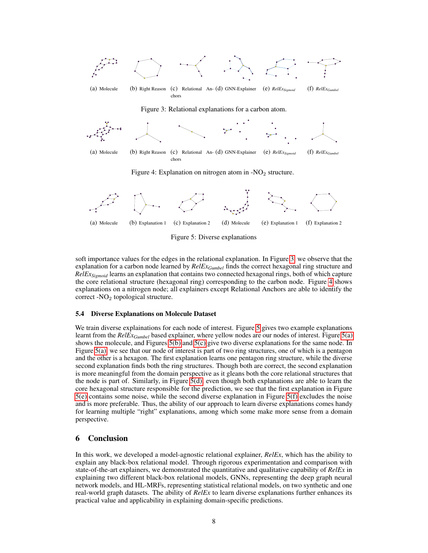<span id="page-7-1"></span>

<span id="page-7-9"></span><span id="page-7-8"></span><span id="page-7-7"></span><span id="page-7-6"></span><span id="page-7-5"></span><span id="page-7-4"></span><span id="page-7-3"></span><span id="page-7-2"></span>(a) Molecule (b) Explanation 1 (c) Explanation 2 (d) Molecule (e) Explanation 1 (f) Explanation 2 Figure 5: Diverse explanations

soft importance values for the edges in the relational explanation. In Figure [3,](#page-7-1) we observe that the explanation for a carbon node learned by *RelExGumbel* finds the correct hexagonal ring structure and *RelExSigmoid* learns an explanation that contains two connected hexagonal rings, both of which capture the core relational structure (hexagonal ring) corresponding to the carbon node. Figure [4](#page-7-2) shows explanations on a nitrogen node; all explainers except Relational Anchors are able to identify the correct - $NO<sub>2</sub>$  topological structure.

#### <span id="page-7-0"></span>5.4 Diverse Explanations on Molecule Dataset

We train diverse explainations for each node of interest. Figure [5](#page-7-3) gives two example explanations learnt from the *RelExGumbel* based explainer, where yellow nodes are our nodes of interest. Figure [5\(a\)](#page-7-4) shows the molecule, and Figures [5\(b\)](#page-7-5) and [5\(c\)](#page-7-6) give two diverse explanations for the same node. In Figure [5\(a\),](#page-7-4) we see that our node of interest is part of two ring structures, one of which is a pentagon and the other is a hexagon. The first explanation learns one pentagon ring structure, while the diverse second explanation finds both the ring structures. Though both are correct, the second explanation is more meaningful from the domain perspective as it gleans both the core relational structures that the node is part of. Similarly, in Figure [5\(d\),](#page-7-7) even though both explanations are able to learn the core hexagonal structure responsible for the prediction, we see that the first explanation in Figure [5\(e\)](#page-7-8) contains some noise, while the second diverse explanation in Figure [5\(f\)](#page-7-9) excludes the noise and is more preferable. Thus, the ability of our approach to learn diverse explanations comes handy for learning multiple "right" explanations, among which some make more sense from a domain perspective.

## 6 Conclusion

In this work, we developed a model-agnostic relational explainer, *RelEx*, which has the ability to explain any black-box relational model. Through rigorous experimentation and comparison with state-of-the-art explainers, we demonstrated the quantitative and qualitative capability of *RelEx* in explaining two different black-box relational models, GNNs, representing the deep graph neural network models, and HL-MRFs, representing statistical relational models, on two synthetic and one real-world graph datasets. The ability of *RelEx* to learn diverse explanations further enhances its practical value and applicability in explaining domain-specific predictions.